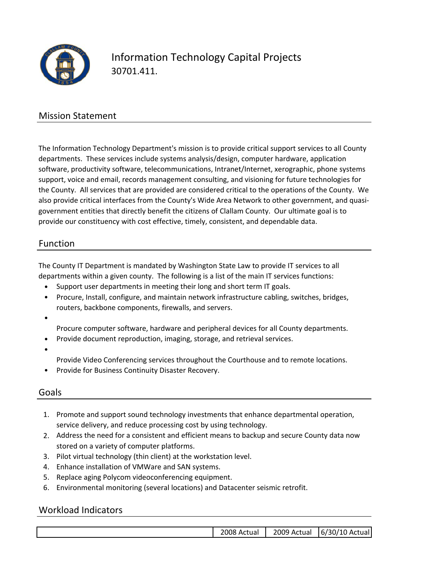

## Information Technology Capital Projects 30701.411.

#### Mission Statement

The Information Technology Department's mission is to provide critical support services to all County departments. These services include systems analysis/design, computer hardware, application software, productivity software, telecommunications, Intranet/Internet, xerographic, phone systems support, voice and email, records management consulting, and visioning for future technologies for the County. All services that are provided are considered critical to the operations of the County. We also provide critical interfaces from the County's Wide Area Network to other government, and quasi‐ government entities that directly benefit the citizens of Clallam County. Our ultimate goal is to provide our constituency with cost effective, timely, consistent, and dependable data.

#### Function

The County IT Department is mandated by Washington State Law to provide IT services to all departments within a given county. The following is a list of the main IT services functions:

- Support user departments in meeting their long and short term IT goals.
- Procure, Install, configure, and maintain network infrastructure cabling, switches, bridges, routers, backbone components, firewalls, and servers.
- •

Procure computer software, hardware and peripheral devices for all County departments.

- Provide document reproduction, imaging, storage, and retrieval services.
- •
- Provide Video Conferencing services throughout the Courthouse and to remote locations.
- Provide for Business Continuity Disaster Recovery.

#### Goals

- 1. Promote and support sound technology investments that enhance departmental operation, service delivery, and reduce processing cost by using technology.
- 2. Address the need for a consistent and efficient means to backup and secure County data now stored on a variety of computer platforms.
- 3. Pilot virtual technology (thin client) at the workstation level.
- 4. Enhance installation of VMWare and SAN systems.
- 5. Replace aging Polycom videoconferencing equipment.
- 6. Environmental monitoring (several locations) and Datacenter seismic retrofit.

#### Workload Indicators

|  |  | 2008/<br>Actual | . 2009<br>Actual | 6/30/10 Actual |
|--|--|-----------------|------------------|----------------|
|--|--|-----------------|------------------|----------------|